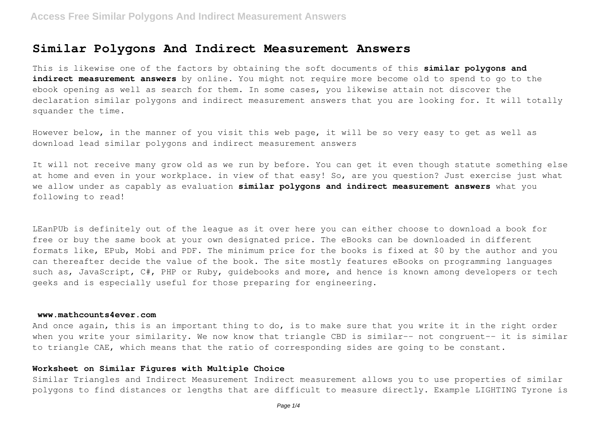# **Similar Polygons And Indirect Measurement Answers**

This is likewise one of the factors by obtaining the soft documents of this **similar polygons and** indirect measurement answers by online. You might not require more become old to spend to go to the ebook opening as well as search for them. In some cases, you likewise attain not discover the declaration similar polygons and indirect measurement answers that you are looking for. It will totally squander the time.

However below, in the manner of you visit this web page, it will be so very easy to get as well as download lead similar polygons and indirect measurement answers

It will not receive many grow old as we run by before. You can get it even though statute something else at home and even in your workplace. in view of that easy! So, are you question? Just exercise just what we allow under as capably as evaluation **similar polygons and indirect measurement answers** what you following to read!

LEanPUb is definitely out of the league as it over here you can either choose to download a book for free or buy the same book at your own designated price. The eBooks can be downloaded in different formats like, EPub, Mobi and PDF. The minimum price for the books is fixed at \$0 by the author and you can thereafter decide the value of the book. The site mostly features eBooks on programming languages such as, JavaScript, C#, PHP or Ruby, quidebooks and more, and hence is known among developers or tech geeks and is especially useful for those preparing for engineering.

#### **www.mathcounts4ever.com**

And once again, this is an important thing to do, is to make sure that you write it in the right order when you write your similarity. We now know that triangle CBD is similar-- not congruent-- it is similar to triangle CAE, which means that the ratio of corresponding sides are going to be constant.

# **Worksheet on Similar Figures with Multiple Choice**

Similar Triangles and Indirect Measurement Indirect measurement allows you to use properties of similar polygons to find distances or lengths that are difficult to measure directly. Example LIGHTING Tyrone is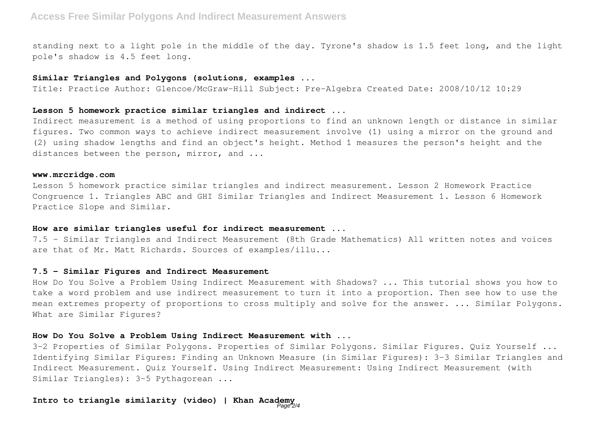standing next to a light pole in the middle of the day. Tyrone's shadow is 1.5 feet long, and the light pole's shadow is 4.5 feet long.

# **Similar Triangles and Polygons (solutions, examples ...**

Title: Practice Author: Glencoe/McGraw-Hill Subject: Pre-Algebra Created Date: 2008/10/12 10:29

#### **Lesson 5 homework practice similar triangles and indirect ...**

Indirect measurement is a method of using proportions to find an unknown length or distance in similar figures. Two common ways to achieve indirect measurement involve (1) using a mirror on the ground and (2) using shadow lengths and find an object's height. Method 1 measures the person's height and the distances between the person, mirror, and ...

#### **www.mrcridge.com**

Lesson 5 homework practice similar triangles and indirect measurement. Lesson 2 Homework Practice Congruence 1. Triangles ABC and GHI Similar Triangles and Indirect Measurement 1. Lesson 6 Homework Practice Slope and Similar.

### **How are similar triangles useful for indirect measurement ...**

7.5 - Similar Triangles and Indirect Measurement (8th Grade Mathematics) All written notes and voices are that of Mr. Matt Richards. Sources of examples/illu...

#### **7.5 - Similar Figures and Indirect Measurement**

How Do You Solve a Problem Using Indirect Measurement with Shadows? ... This tutorial shows you how to take a word problem and use indirect measurement to turn it into a proportion. Then see how to use the mean extremes property of proportions to cross multiply and solve for the answer. ... Similar Polygons. What are Similar Figures?

### **How Do You Solve a Problem Using Indirect Measurement with ...**

3-2 Properties of Similar Polygons. Properties of Similar Polygons. Similar Figures. Quiz Yourself ... Identifying Similar Figures: Finding an Unknown Measure (in Similar Figures): 3-3 Similar Triangles and Indirect Measurement. Quiz Yourself. Using Indirect Measurement: Using Indirect Measurement (with Similar Triangles): 3-5 Pythagorean ...

#### **Intro to triangle similarity (video) | Khan Academy**  $Page<sub>2/4</sub>$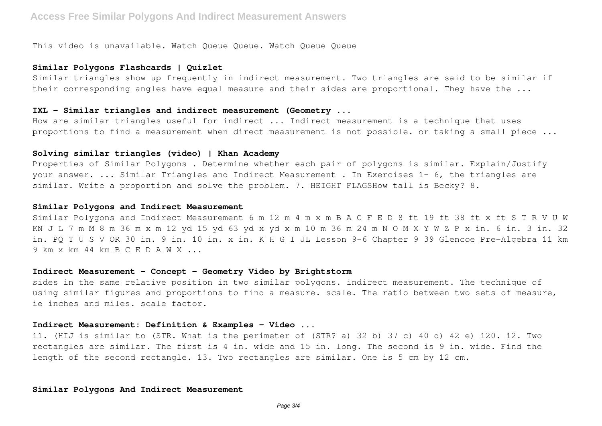This video is unavailable. Watch Queue Queue. Watch Queue Queue

#### **Similar Polygons Flashcards | Quizlet**

Similar triangles show up frequently in indirect measurement. Two triangles are said to be similar if their corresponding angles have equal measure and their sides are proportional. They have the ...

#### **IXL - Similar triangles and indirect measurement (Geometry ...**

How are similar triangles useful for indirect ... Indirect measurement is a technique that uses proportions to find a measurement when direct measurement is not possible. or taking a small piece ...

#### **Solving similar triangles (video) | Khan Academy**

Properties of Similar Polygons . Determine whether each pair of polygons is similar. Explain/Justify your answer. ... Similar Triangles and Indirect Measurement . In Exercises 1– 6, the triangles are similar. Write a proportion and solve the problem. 7. HEIGHT FLAGSHow tall is Becky? 8.

#### **Similar Polygons and Indirect Measurement**

Similar Polygons and Indirect Measurement 6 m 12 m 4 m x m B A C F E D 8 ft 19 ft 38 ft x ft S T R V U W KN J L 7 m M 8 m 36 m x m 12 yd 15 yd 63 yd x yd x m 10 m 36 m 24 m N O M X Y W Z P x in. 6 in. 3 in. 32 in. PQ T U S V OR 30 in. 9 in. 10 in. x in. K H G I JL Lesson 9–6 Chapter 9 39 Glencoe Pre-Algebra 11 km 9 km x km 44 km B C E D A W X ...

#### **Indirect Measurement - Concept - Geometry Video by Brightstorm**

sides in the same relative position in two similar polygons. indirect measurement. The technique of using similar figures and proportions to find a measure. scale. The ratio between two sets of measure, ie inches and miles. scale factor.

#### **Indirect Measurement: Definition & Examples - Video ...**

11. (HIJ is similar to (STR. What is the perimeter of (STR? a) 32 b) 37 c) 40 d) 42 e) 120. 12. Two rectangles are similar. The first is 4 in. wide and 15 in. long. The second is 9 in. wide. Find the length of the second rectangle. 13. Two rectangles are similar. One is 5 cm by 12 cm.

#### **Similar Polygons And Indirect Measurement**